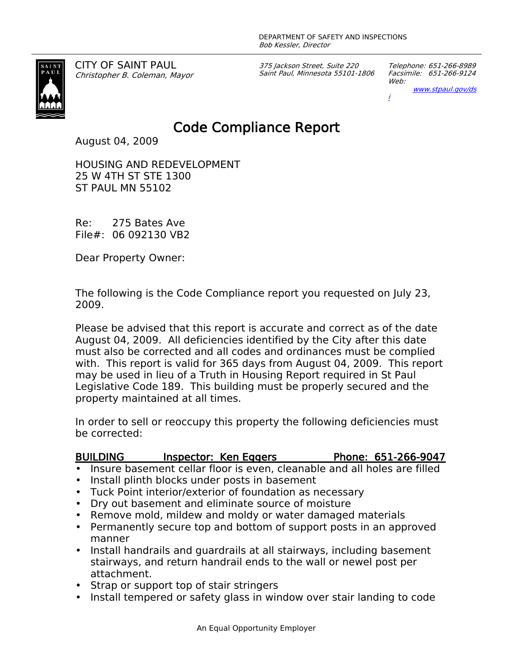

CITY OF SAINT PAUL *Christopher B. Coleman, Mayor*

*375 Jackson Street, Suite 220 Saint Paul, Minnesota 55101-1806*

*Telephone: 651-266-8989 Facsimile: 651-266-9124 Web:*

*[i](http://www.stpaul.gov/dsi)*

*[www.stpaul.gov/ds](http://www.stpaul.gov/dsi)*

# **Code Compliance Report**

August 04, 2009

HOUSING AND REDEVELOPMENT 25 W 4TH ST STE 1300 ST PAUL MN 55102

Re: 275 Bates Ave File#: 06 092130 VB2

Dear Property Owner:

The following is the Code Compliance report you requested on July 23, 2009.

Please be advised that this report is accurate and correct as of the date August 04, 2009. All deficiencies identified by the City after this date must also be corrected and all codes and ordinances must be complied with. This report is valid for 365 days from August 04, 2009. This report may be used in lieu of a Truth in Housing Report required in St Paul Legislative Code 189. This building must be properly secured and the property maintained at all times.

In order to sell or reoccupy this property the following deficiencies must be corrected:

| <b>BUILDING</b> | Inspector: Ken Eggers                                                                                                                        | Phone: 651-266-9047 |
|-----------------|----------------------------------------------------------------------------------------------------------------------------------------------|---------------------|
|                 | . Insure basement cellar floor is even, cleanable and all holes are filled                                                                   |                     |
|                 | • Install plinth blocks under posts in basement                                                                                              |                     |
|                 | • Tuck Point interior/exterior of foundation as necessary                                                                                    |                     |
|                 | • Dry out basement and eliminate source of moisture                                                                                          |                     |
|                 | • Remove mold, mildew and moldy or water damaged materials                                                                                   |                     |
| manner          | • Permanently secure top and bottom of support posts in an approved                                                                          |                     |
| attachment.     | • Install handrails and guardrails at all stairways, including basement<br>stairways, and return handrail ends to the wall or newel post per |                     |
|                 |                                                                                                                                              |                     |

- Strap or support top of stair stringers
- Install tempered or safety glass in window over stair landing to code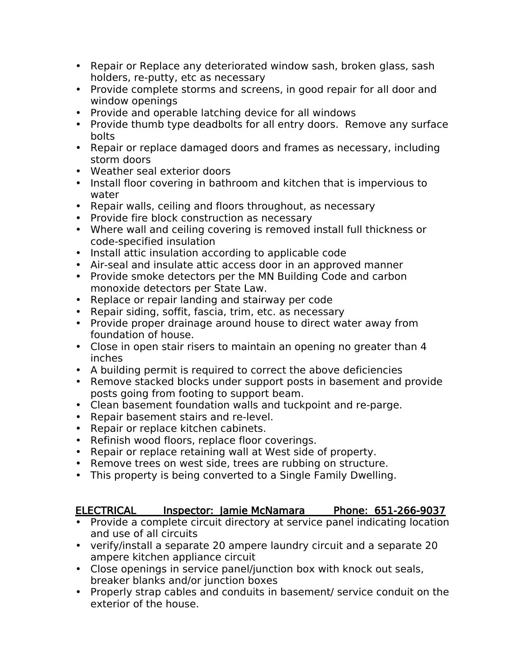- Repair or Replace any deteriorated window sash, broken glass, sash holders, re-putty, etc as necessary
- Provide complete storms and screens, in good repair for all door and window openings
- Provide and operable latching device for all windows
- Provide thumb type deadbolts for all entry doors. Remove any surface bolts
- Repair or replace damaged doors and frames as necessary, including storm doors
- Weather seal exterior doors
- Install floor covering in bathroom and kitchen that is impervious to water
- Repair walls, ceiling and floors throughout, as necessary
- Provide fire block construction as necessary
- Where wall and ceiling covering is removed install full thickness or code-specified insulation
- Install attic insulation according to applicable code
- Air-seal and insulate attic access door in an approved manner
- Provide smoke detectors per the MN Building Code and carbon monoxide detectors per State Law.
- Replace or repair landing and stairway per code
- Repair siding, soffit, fascia, trim, etc. as necessary
- Provide proper drainage around house to direct water away from foundation of house.
- Close in open stair risers to maintain an opening no greater than 4 inches
- A building permit is required to correct the above deficiencies
- Remove stacked blocks under support posts in basement and provide posts going from footing to support beam.
- Clean basement foundation walls and tuckpoint and re-parge.
- Repair basement stairs and re-level.
- Repair or replace kitchen cabinets.
- Refinish wood floors, replace floor coverings.
- Repair or replace retaining wall at West side of property.
- Remove trees on west side, trees are rubbing on structure.
- This property is being converted to a Single Family Dwelling.

## **ELECTRICAL Inspector: Jamie McNamara Phone: 651-266-9037**

- Provide a complete circuit directory at service panel indicating location and use of all circuits
- verify/install a separate 20 ampere laundry circuit and a separate 20 ampere kitchen appliance circuit
- Close openings in service panel/junction box with knock out seals, breaker blanks and/or junction boxes
- Properly strap cables and conduits in basement/ service conduit on the exterior of the house.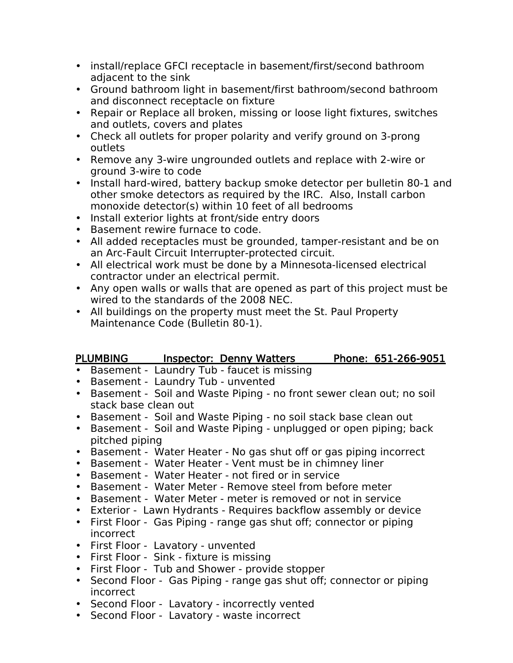- install/replace GFCI receptacle in basement/first/second bathroom adjacent to the sink
- Ground bathroom light in basement/first bathroom/second bathroom and disconnect receptacle on fixture
- Repair or Replace all broken, missing or loose light fixtures, switches and outlets, covers and plates
- Check all outlets for proper polarity and verify ground on 3-prong outlets
- Remove any 3-wire ungrounded outlets and replace with 2-wire or ground 3-wire to code
- Install hard-wired, battery backup smoke detector per bulletin 80-1 and other smoke detectors as required by the IRC. Also, Install carbon monoxide detector(s) within 10 feet of all bedrooms
- Install exterior lights at front/side entry doors
- Basement rewire furnace to code.
- All added receptacles must be grounded, tamper-resistant and be on an Arc-Fault Circuit Interrupter-protected circuit.
- All electrical work must be done by a Minnesota-licensed electrical contractor under an electrical permit.
- Any open walls or walls that are opened as part of this project must be wired to the standards of the 2008 NEC.
- All buildings on the property must meet the St. Paul Property Maintenance Code (Bulletin 80-1).

## **PLUMBING Inspector: Denny Watters Phone: 651-266-9051**

- Basement Laundry Tub faucet is missing
- Basement Laundry Tub unvented
- Basement Soil and Waste Piping no front sewer clean out; no soil stack base clean out
- Basement Soil and Waste Piping no soil stack base clean out
- Basement Soil and Waste Piping unplugged or open piping; back pitched piping
- Basement Water Heater No gas shut off or gas piping incorrect
- Basement Water Heater Vent must be in chimney liner
- Basement Water Heater not fired or in service
- Basement Water Meter Remove steel from before meter
- Basement Water Meter meter is removed or not in service
- Exterior Lawn Hydrants Requires backflow assembly or device
- First Floor Gas Piping range gas shut off; connector or piping incorrect
- First Floor Lavatory unvented
- First Floor Sink fixture is missing
- First Floor Tub and Shower provide stopper
- Second Floor Gas Piping range gas shut off; connector or piping incorrect
- Second Floor Lavatory incorrectly vented
- Second Floor Lavatory waste incorrect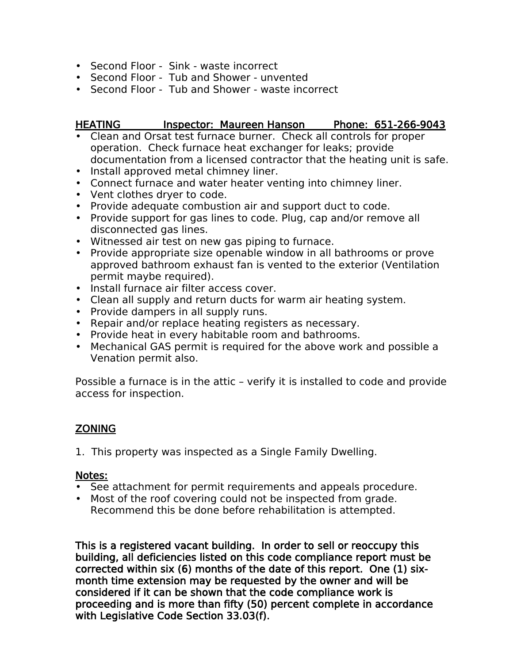- Second Floor Sink waste incorrect
- Second Floor Tub and Shower unvented
- Second Floor Tub and Shower waste incorrect

#### **HEATING Inspector: Maureen Hanson Phone: 651-266-9043**

- Clean and Orsat test furnace burner. Check all controls for proper operation. Check furnace heat exchanger for leaks; provide documentation from a licensed contractor that the heating unit is safe.
- Install approved metal chimney liner.
- Connect furnace and water heater venting into chimney liner.
- Vent clothes dryer to code.
- Provide adequate combustion air and support duct to code.
- Provide support for gas lines to code. Plug, cap and/or remove all disconnected gas lines.
- Witnessed air test on new gas piping to furnace.
- Provide appropriate size openable window in all bathrooms or prove approved bathroom exhaust fan is vented to the exterior (Ventilation permit maybe required).
- Install furnace air filter access cover.
- Clean all supply and return ducts for warm air heating system.
- Provide dampers in all supply runs.
- Repair and/or replace heating registers as necessary.
- Provide heat in every habitable room and bathrooms.
- Mechanical GAS permit is required for the above work and possible a Venation permit also.

Possible a furnace is in the attic – verify it is installed to code and provide access for inspection.

### **ZONING**

1. This property was inspected as a Single Family Dwelling.

#### **Notes:**

- See attachment for permit requirements and appeals procedure.
- Most of the roof covering could not be inspected from grade. Recommend this be done before rehabilitation is attempted.

**This is a registered vacant building. In order to sell or reoccupy this building, all deficiencies listed on this code compliance report must be corrected within six (6) months of the date of this report. One (1) sixmonth time extension may be requested by the owner and will be considered if it can be shown that the code compliance work is proceeding and is more than fifty (50) percent complete in accordance with Legislative Code Section 33.03(f).**